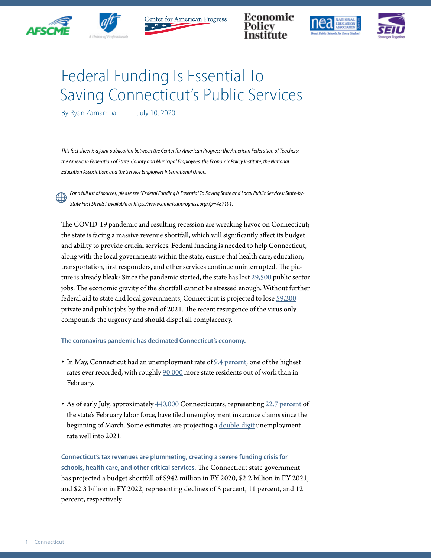



Center for American Progress

Economic





## Federal Funding Is Essential To Saving Connecticut's Public Services

By Ryan Zamarripa July 10, 2020

*This fact sheet is a joint publication between the Center for American Progress; the American Federation of Teachers; the American Federation of State, County and Municipal Employees; the Economic Policy Institute; the National Education Association; and the Service Employees International Union.*

*For a full list of sources, please see "Federal Funding Is Essential To Saving State and Local Public Services: State-by-State Fact Sheets," available at https://www.americanprogress.org/?p=487191.*

The COVID-19 pandemic and resulting recession are wreaking havoc on Connecticut; the state is facing a massive revenue shortfall, which will significantly affect its budget and ability to provide crucial services. Federal funding is needed to help Connecticut, along with the local governments within the state, ensure that health care, education, transportation, first responders, and other services continue uninterrupted. The picture is already bleak: Since the pandemic started, the state has lost [29,500](https://www.bls.gov/news.release/laus.t03.htm) public sector jobs. The economic gravity of the shortfall cannot be stressed enough. Without further federal aid to state and local governments, Connecticut is projected to lose [59,200](https://www.epi.org/blog/without-federal-aid-to-state-and-local-governments-5-3-million-workers-will-likely-lose-their-jobs-by-the-end-of-2021-see-estimated-job-losses-by-state/) private and public jobs by the end of 2021. The recent resurgence of the virus only compounds the urgency and should dispel all complacency.

## **The coronavirus pandemic has decimated Connecticut's economy.**

- In May, Connecticut had an unemployment rate of [9.4 percent](https://www.bls.gov/news.release/laus.t01.htm), one of the highest rates ever recorded, with roughly [90,000](https://www.bls.gov/news.release/laus.t03.htm) more state residents out of work than in February.
- As of early July, approximately  $440,000$  Connecticuters, representing [22.7 percent](https://www.bls.gov/news.release/laus.t01.htm) of the state's February labor force, have filed unemployment insurance claims since the beginning of March. Some estimates are projecting a [double-digit](http://www.oecd.org/economic-outlook/june-2020/#:~:text=Global%20economic%20activity%20falls%206,across%20the%20economy%20by%202021.) unemployment rate well into 2021.

**Connecticut's tax revenues are plummeting, creating a severe funding [crisis](https://www.cbpp.org/research/state-budget-and-tax/states-grappling-with-hit-to-tax-collections) for schools, health care, and other critical services.** The Connecticut state government has projected a budget shortfall of \$942 million in FY 2020, \$2.2 billion in FY 2021, and \$2.3 billion in FY 2022, representing declines of 5 percent, 11 percent, and 12 percent, respectively.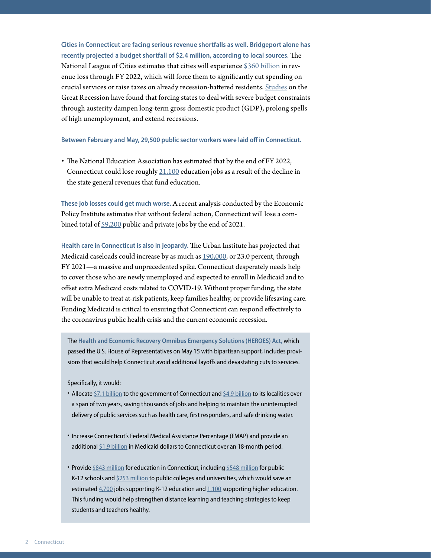**Cities in Connecticut are facing serious revenue shortfalls as well. Bridgeport alone has recently projected a budget shortfall of \$2.4 million, according to local sources.** The National League of Cities estimates that cities will experience [\\$360 billion](https://www.nlc.org/sites/default/files/users/user52651/Cities%20Are%20Essential%20Revenue%20Loss_One%20Pager.pdf) in revenue loss through FY 2022, which will force them to significantly cut spending on crucial services or raise taxes on already recession-battered residents. [Studies](https://www.americanprogress.org/issues/economy/reports/2014/05/30/90621/what-have-we-learned-about-austerity-since-the-great-recession/) on the Great Recession have found that forcing states to deal with severe budget constraints through austerity dampen long-term gross domestic product (GDP), prolong spells of high unemployment, and extend recessions.

**Between February and May, [29,500](https://www.bls.gov/news.release/laus.t03.htm) public sector workers were laid off in Connecticut.**

• The National Education Association has estimated that by the end of FY 2022, Connecticut could lose roughly [21,100](https://educationvotes.nea.org/wp-content/uploads/2020/06/Revised-NEA-Estimates-in-Support-of-the-HEROES-Act-06-06-2020.pdf?_ga=2.17671737.1424969520.1591579607-1012899167.1494591151) education jobs as a result of the decline in the state general revenues that fund education.

**These job losses could get much worse.** A recent analysis conducted by the Economic Policy Institute estimates that without federal action, Connecticut will lose a combined total of [59,200](https://www.epi.org/blog/without-federal-aid-to-state-and-local-governments-5-3-million-workers-will-likely-lose-their-jobs-by-the-end-of-2021-see-estimated-job-losses-by-state/) public and private jobs by the end of 2021.

**Health care in Connecticut is also in jeopardy.** The Urban Institute has projected that Medicaid caseloads could increase by as much as [190,000,](https://www.urban.org/research/publication/how-covid-19-recession-could-affect-health-insurance-coverage/view/full_report) or 23.0 percent, through FY 2021—a massive and unprecedented spike. Connecticut desperately needs help to cover those who are newly unemployed and expected to enroll in Medicaid and to offset extra Medicaid costs related to COVID-19. Without proper funding, the state will be unable to treat at-risk patients, keep families healthy, or provide lifesaving care. Funding Medicaid is critical to ensuring that Connecticut can respond effectively to the coronavirus public health crisis and the current economic recession.

The **Health and Economic Recovery Omnibus Emergency Solutions (HEROES) Act**, which passed the U.S. House of Representatives on May 15 with bipartisan support, includes provisions that would help Connecticut avoid additional layoffs and devastating cuts to services.

Specifically, it would:

- Allocate [\\$7.1 billion](https://www.speaker.gov/heroesact) to the government of Connecticut and [\\$4.9 billion](https://www.speaker.gov/heroesact) to its localities over a span of two years, saving thousands of jobs and helping to maintain the uninterrupted delivery of public services such as health care, first responders, and safe drinking water.
- Increase Connecticut's Federal Medical Assistance Percentage (FMAP) and provide an additional [\\$1.9 billion](https://www.cbpp.org/blog/pelosi-bill-includes-much-needed-medicaid-funding-for-states) in Medicaid dollars to Connecticut over an 18-month period.
- Provide [\\$843 million](https://educationvotes.nea.org/wp-content/uploads/2020/06/Revised-NEA-Estimates-in-Support-of-the-HEROES-Act-06-06-2020.pdf?_ga=2.17671737.1424969520.1591579607-1012899167.1494591151) for education in Connecticut, including [\\$548 million](https://educationvotes.nea.org/wp-content/uploads/2020/06/Revised-NEA-Estimates-in-Support-of-the-HEROES-Act-06-06-2020.pdf?_ga=2.17671737.1424969520.1591579607-1012899167.1494591151) for public K-12 schools and [\\$253 million](https://educationvotes.nea.org/wp-content/uploads/2020/06/Revised-NEA-Estimates-in-Support-of-the-HEROES-Act-06-06-2020.pdf?_ga=2.17671737.1424969520.1591579607-1012899167.1494591151) to public colleges and universities, which would save an estimated [4,700](https://educationvotes.nea.org/wp-content/uploads/2020/06/Revised-NEA-Estimates-in-Support-of-the-HEROES-Act-06-06-2020.pdf?_ga=2.17671737.1424969520.1591579607-1012899167.1494591151) jobs supporting K-12 education and [1,100](https://educationvotes.nea.org/wp-content/uploads/2020/06/Revised-NEA-Estimates-in-Support-of-the-HEROES-Act-06-06-2020.pdf?_ga=2.17671737.1424969520.1591579607-1012899167.1494591151) supporting higher education. This funding would help strengthen distance learning and teaching strategies to keep students and teachers healthy.